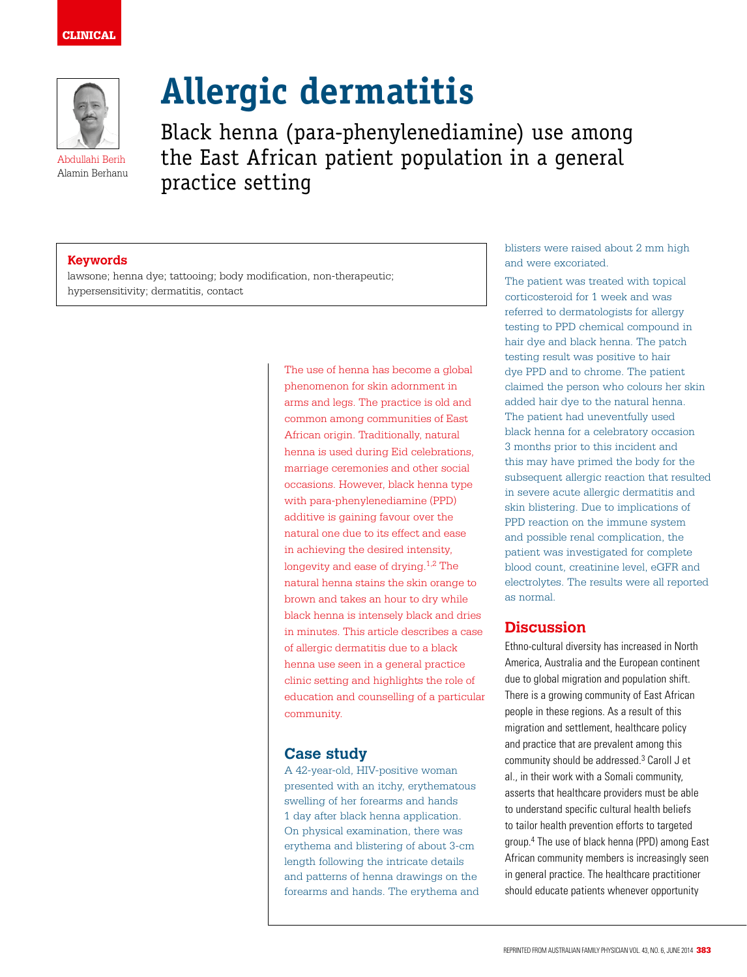# CLINICAL



Abdullahi Berih Alamin Berhanu

# **Allergic dermatitis**

Black henna (para-phenylenediamine) use among the East African patient population in a general practice setting

#### **Keywords**

lawsone; henna dye; tattooing; body modification, non-therapeutic; hypersensitivity; dermatitis, contact

> The use of henna has become a global phenomenon for skin adornment in arms and legs. The practice is old and common among communities of East African origin. Traditionally, natural henna is used during Eid celebrations, marriage ceremonies and other social occasions. However, black henna type with para-phenylenediamine (PPD) additive is gaining favour over the natural one due to its effect and ease in achieving the desired intensity, longevity and ease of drying. $1,2$  The natural henna stains the skin orange to brown and takes an hour to dry while black henna is intensely black and dries in minutes. This article describes a case of allergic dermatitis due to a black henna use seen in a general practice clinic setting and highlights the role of education and counselling of a particular community.

# **Case study**

A 42-year-old, HIV-positive woman presented with an itchy, erythematous swelling of her forearms and hands 1 day after black henna application. On physical examination, there was erythema and blistering of about 3-cm length following the intricate details and patterns of henna drawings on the forearms and hands. The erythema and blisters were raised about 2 mm high and were excoriated.

The patient was treated with topical corticosteroid for 1 week and was referred to dermatologists for allergy testing to PPD chemical compound in hair dye and black henna. The patch testing result was positive to hair dye PPD and to chrome. The patient claimed the person who colours her skin added hair dye to the natural henna. The patient had uneventfully used black henna for a celebratory occasion 3 months prior to this incident and this may have primed the body for the subsequent allergic reaction that resulted in severe acute allergic dermatitis and skin blistering. Due to implications of PPD reaction on the immune system and possible renal complication, the patient was investigated for complete blood count, creatinine level, eGFR and electrolytes. The results were all reported as normal.

# **Discussion**

Ethno-cultural diversity has increased in North America, Australia and the European continent due to global migration and population shift. There is a growing community of East African people in these regions. As a result of this migration and settlement, healthcare policy and practice that are prevalent among this community should be addressed.<sup>3</sup> Caroll J et al., in their work with a Somali community, asserts that healthcare providers must be able to understand specific cultural health beliefs to tailor health prevention efforts to targeted group.4 The use of black henna (PPD) among East African community members is increasingly seen in general practice. The healthcare practitioner should educate patients whenever opportunity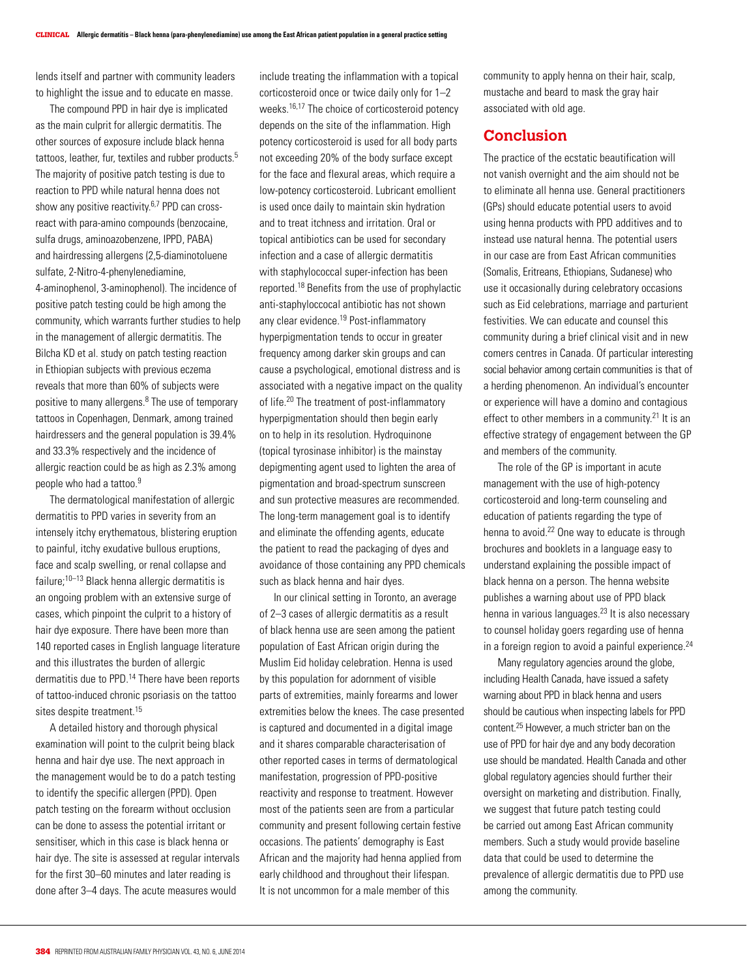lends itself and partner with community leaders to highlight the issue and to educate en masse.

The compound PPD in hair dye is implicated as the main culprit for allergic dermatitis. The other sources of exposure include black henna tattoos, leather, fur, textiles and rubber products.<sup>5</sup> The majority of positive patch testing is due to reaction to PPD while natural henna does not show any positive reactivity.<sup>6,7</sup> PPD can crossreact with para-amino compounds (benzocaine, sulfa drugs, aminoazobenzene, IPPD, PABA) and hairdressing allergens (2,5-diaminotoluene sulfate, 2-Nitro-4-phenylenediamine, 4-aminophenol, 3-aminophenol). The incidence of positive patch testing could be high among the community, which warrants further studies to help in the management of allergic dermatitis. The Bilcha KD et al. study on patch testing reaction in Ethiopian subjects with previous eczema reveals that more than 60% of subjects were positive to many allergens.<sup>8</sup> The use of temporary tattoos in Copenhagen, Denmark, among trained hairdressers and the general population is 39.4% and 33.3% respectively and the incidence of allergic reaction could be as high as 2.3% among people who had a tattoo.<sup>9</sup>

The dermatological manifestation of allergic dermatitis to PPD varies in severity from an intensely itchy erythematous, blistering eruption to painful, itchy exudative bullous eruptions, face and scalp swelling, or renal collapse and failure;10–13 Black henna allergic dermatitis is an ongoing problem with an extensive surge of cases, which pinpoint the culprit to a history of hair dye exposure. There have been more than 140 reported cases in English language literature and this illustrates the burden of allergic dermatitis due to PPD.14 There have been reports of tattoo-induced chronic psoriasis on the tattoo sites despite treatment.<sup>15</sup>

A detailed history and thorough physical examination will point to the culprit being black henna and hair dye use. The next approach in the management would be to do a patch testing to identify the specific allergen (PPD). Open patch testing on the forearm without occlusion can be done to assess the potential irritant or sensitiser, which in this case is black henna or hair dye. The site is assessed at regular intervals for the first 30–60 minutes and later reading is done after 3–4 days. The acute measures would

include treating the inflammation with a topical corticosteroid once or twice daily only for 1–2 weeks.16,17 The choice of corticosteroid potency depends on the site of the inflammation. High potency corticosteroid is used for all body parts not exceeding 20% of the body surface except for the face and flexural areas, which require a low-potency corticosteroid. Lubricant emollient is used once daily to maintain skin hydration and to treat itchness and irritation. Oral or topical antibiotics can be used for secondary infection and a case of allergic dermatitis with staphylococcal super-infection has been reported.18 Benefits from the use of prophylactic anti-staphyloccocal antibiotic has not shown any clear evidence.<sup>19</sup> Post-inflammatory hyperpigmentation tends to occur in greater frequency among darker skin groups and can cause a psychological, emotional distress and is associated with a negative impact on the quality of life.20 The treatment of post-inflammatory hyperpigmentation should then begin early on to help in its resolution. Hydroquinone (topical tyrosinase inhibitor) is the mainstay depigmenting agent used to lighten the area of pigmentation and broad-spectrum sunscreen and sun protective measures are recommended. The long-term management goal is to identify and eliminate the offending agents, educate the patient to read the packaging of dyes and avoidance of those containing any PPD chemicals such as black henna and hair dyes.

In our clinical setting in Toronto, an average of 2–3 cases of allergic dermatitis as a result of black henna use are seen among the patient population of East African origin during the Muslim Eid holiday celebration. Henna is used by this population for adornment of visible parts of extremities, mainly forearms and lower extremities below the knees. The case presented is captured and documented in a digital image and it shares comparable characterisation of other reported cases in terms of dermatological manifestation, progression of PPD-positive reactivity and response to treatment. However most of the patients seen are from a particular community and present following certain festive occasions. The patients' demography is East African and the majority had henna applied from early childhood and throughout their lifespan. It is not uncommon for a male member of this

community to apply henna on their hair, scalp, mustache and beard to mask the gray hair associated with old age.

# **Conclusion**

The practice of the ecstatic beautification will not vanish overnight and the aim should not be to eliminate all henna use. General practitioners (GPs) should educate potential users to avoid using henna products with PPD additives and to instead use natural henna. The potential users in our case are from East African communities (Somalis, Eritreans, Ethiopians, Sudanese) who use it occasionally during celebratory occasions such as Eid celebrations, marriage and parturient festivities. We can educate and counsel this community during a brief clinical visit and in new comers centres in Canada. Of particular interesting social behavior among certain communities is that of a herding phenomenon. An individual's encounter or experience will have a domino and contagious effect to other members in a community.<sup>21</sup> It is an effective strategy of engagement between the GP and members of the community.

The role of the GP is important in acute management with the use of high-potency corticosteroid and long-term counseling and education of patients regarding the type of henna to avoid.22 One way to educate is through brochures and booklets in a language easy to understand explaining the possible impact of black henna on a person. The henna website publishes a warning about use of PPD black henna in various languages.<sup>23</sup> It is also necessary to counsel holiday goers regarding use of henna in a foreign region to avoid a painful experience.<sup>24</sup>

Many regulatory agencies around the globe, including Health Canada, have issued a safety warning about PPD in black henna and users should be cautious when inspecting labels for PPD content.25 However, a much stricter ban on the use of PPD for hair dye and any body decoration use should be mandated. Health Canada and other global regulatory agencies should further their oversight on marketing and distribution. Finally, we suggest that future patch testing could be carried out among East African community members. Such a study would provide baseline data that could be used to determine the prevalence of allergic dermatitis due to PPD use among the community.